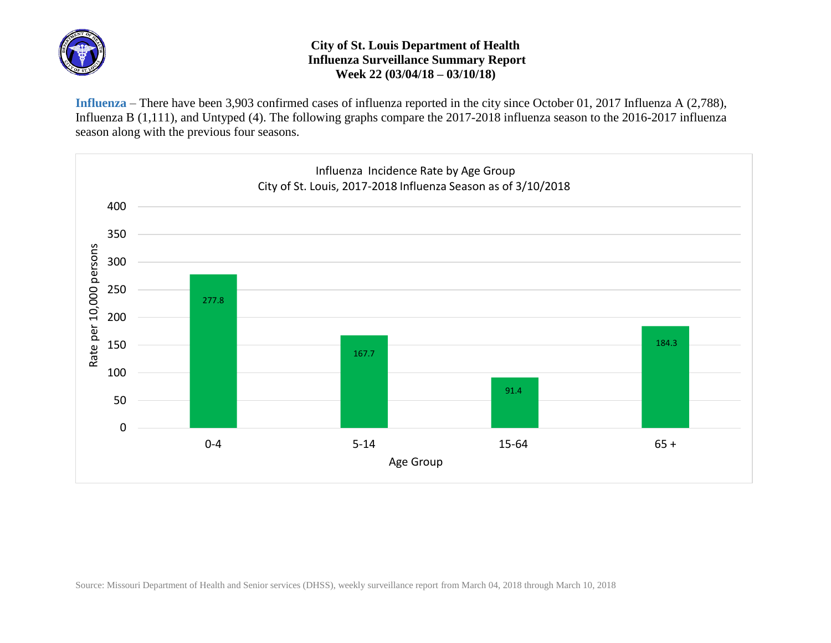

## **City of St. Louis Department of Health Influenza Surveillance Summary Report Week 22 (03/04/18 – 03/10/18)**

**Influenza** – There have been 3,903 confirmed cases of influenza reported in the city since October 01, 2017 Influenza A (2,788), Influenza B (1,111), and Untyped (4). The following graphs compare the 2017-2018 influenza season to the 2016-2017 influenza season along with the previous four seasons.